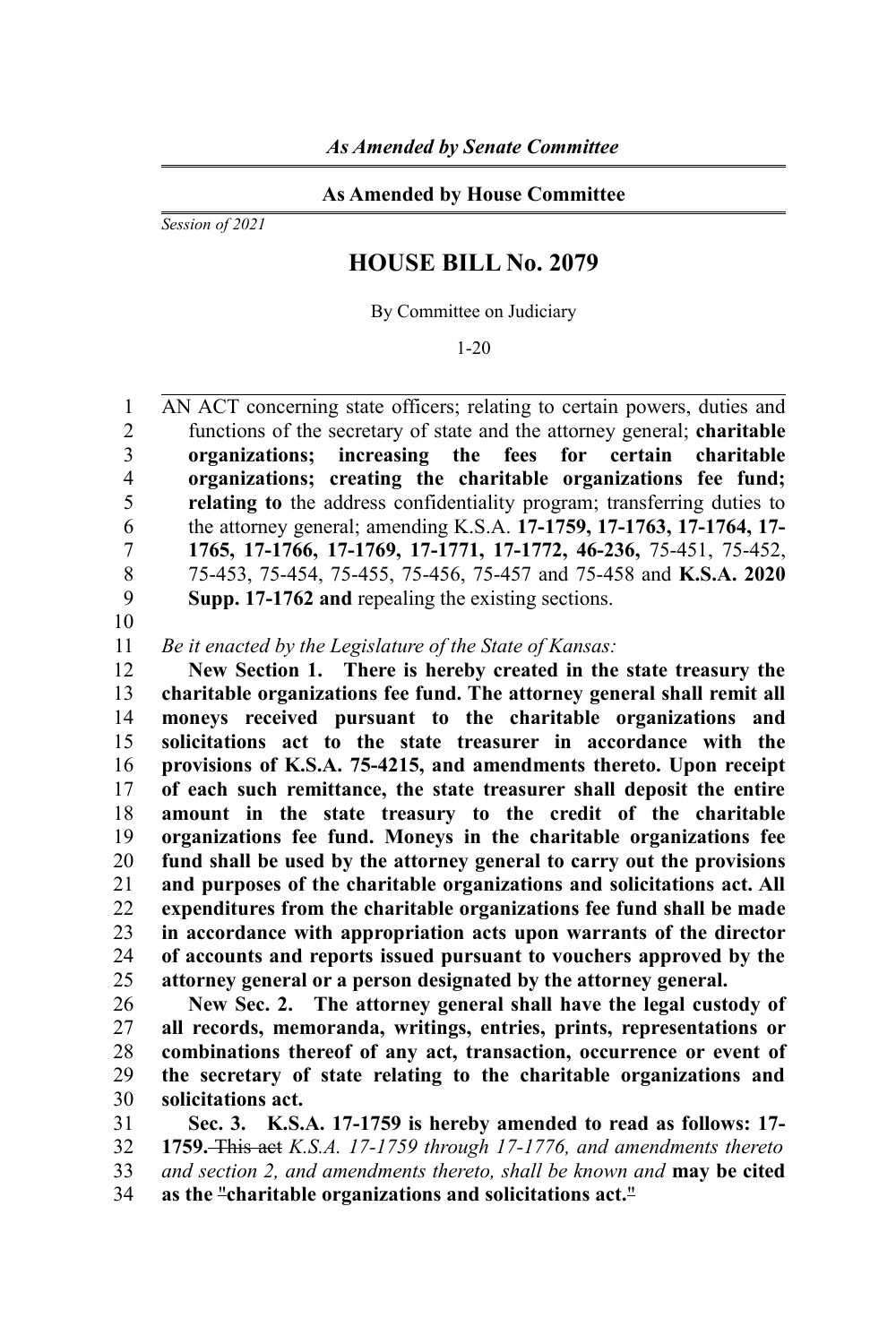## **As Amended by House Committee**

*Session of 2021*

## **HOUSE BILL No. 2079**

By Committee on Judiciary

1-20

AN ACT concerning state officers; relating to certain powers, duties and functions of the secretary of state and the attorney general; **charitable organizations; increasing the fees for certain charitable organizations; creating the charitable organizations fee fund; relating to** the address confidentiality program; transferring duties to the attorney general; amending K.S.A. **17-1759, 17-1763, 17-1764, 17- 1765, 17-1766, 17-1769, 17-1771, 17-1772, 46-236,** 75-451, 75-452, 75-453, 75-454, 75-455, 75-456, 75-457 and 75-458 and **K.S.A. 2020 Supp. 17-1762 and** repealing the existing sections. 1  $\overline{2}$ 3 4 5 6 7 8 9

10

*Be it enacted by the Legislature of the State of Kansas:* 11

**New Section 1. There is hereby created in the state treasury the charitable organizations fee fund. The attorney general shall remit all moneys received pursuant to the charitable organizations and solicitations act to the state treasurer in accordance with the provisions of K.S.A. 75-4215, and amendments thereto. Upon receipt of each such remittance, the state treasurer shall deposit the entire amount in the state treasury to the credit of the charitable organizations fee fund. Moneys in the charitable organizations fee fund shall be used by the attorney general to carry out the provisions and purposes of the charitable organizations and solicitations act. All expenditures from the charitable organizations fee fund shall be made in accordance with appropriation acts upon warrants of the director of accounts and reports issued pursuant to vouchers approved by the attorney general or a person designated by the attorney general.** 12 13 14 15 16 17 18 19 20 21 22 23 24 25

**New Sec. 2. The attorney general shall have the legal custody of all records, memoranda, writings, entries, prints, representations or combinations thereof of any act, transaction, occurrence or event of the secretary of state relating to the charitable organizations and solicitations act.** 26 27 28 29 30

**Sec. 3. K.S.A. 17-1759 is hereby amended to read as follows: 17- 1759.** This act *K.S.A. 17-1759 through 17-1776, and amendments thereto and section 2, and amendments thereto, shall be known and* **may be cited as the** "**charitable organizations and solicitations act.**" 31 32 33 34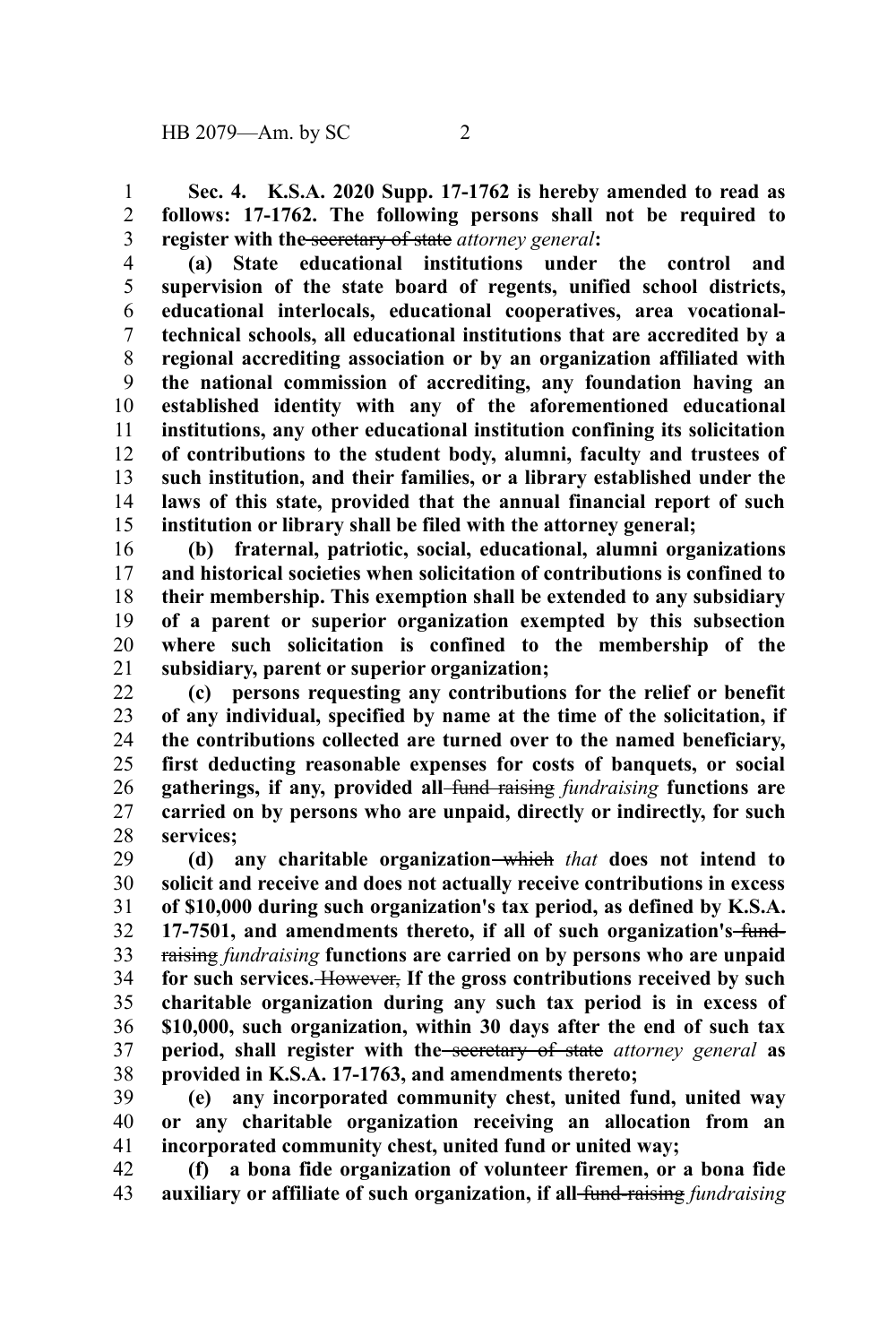**Sec. 4. K.S.A. 2020 Supp. 17-1762 is hereby amended to read as follows: 17-1762. The following persons shall not be required to register with the** secretary of state *attorney general***:** 1 2 3

**(a) State educational institutions under the control and supervision of the state board of regents, unified school districts, educational interlocals, educational cooperatives, area vocationaltechnical schools, all educational institutions that are accredited by a regional accrediting association or by an organization affiliated with the national commission of accrediting, any foundation having an established identity with any of the aforementioned educational institutions, any other educational institution confining its solicitation of contributions to the student body, alumni, faculty and trustees of such institution, and their families, or a library established under the laws of this state, provided that the annual financial report of such institution or library shall be filed with the attorney general;** 4 5 6 7 8 9 10 11 12 13 14 15

**(b) fraternal, patriotic, social, educational, alumni organizations and historical societies when solicitation of contributions is confined to their membership. This exemption shall be extended to any subsidiary of a parent or superior organization exempted by this subsection where such solicitation is confined to the membership of the subsidiary, parent or superior organization;** 16 17 18 19 20 21

**(c) persons requesting any contributions for the relief or benefit of any individual, specified by name at the time of the solicitation, if the contributions collected are turned over to the named beneficiary, first deducting reasonable expenses for costs of banquets, or social gatherings, if any, provided all** fund raising *fundraising* **functions are carried on by persons who are unpaid, directly or indirectly, for such services;** 22 23 24 25 26 27 28

**(d) any charitable organization** which *that* **does not intend to solicit and receive and does not actually receive contributions in excess of \$10,000 during such organization's tax period, as defined by K.S.A. 17-7501, and amendments thereto, if all of such organization's** fundraising *fundraising* **functions are carried on by persons who are unpaid for such services.** However, **If the gross contributions received by such charitable organization during any such tax period is in excess of \$10,000, such organization, within 30 days after the end of such tax period, shall register with the** secretary of state *attorney general* **as provided in K.S.A. 17-1763, and amendments thereto;** 29 30 31 32 33 34 35 36 37 38

**(e) any incorporated community chest, united fund, united way or any charitable organization receiving an allocation from an incorporated community chest, united fund or united way;** 39 40 41

**(f) a bona fide organization of volunteer firemen, or a bona fide auxiliary or affiliate of such organization, if all** fund-raising *fundraising* 42 43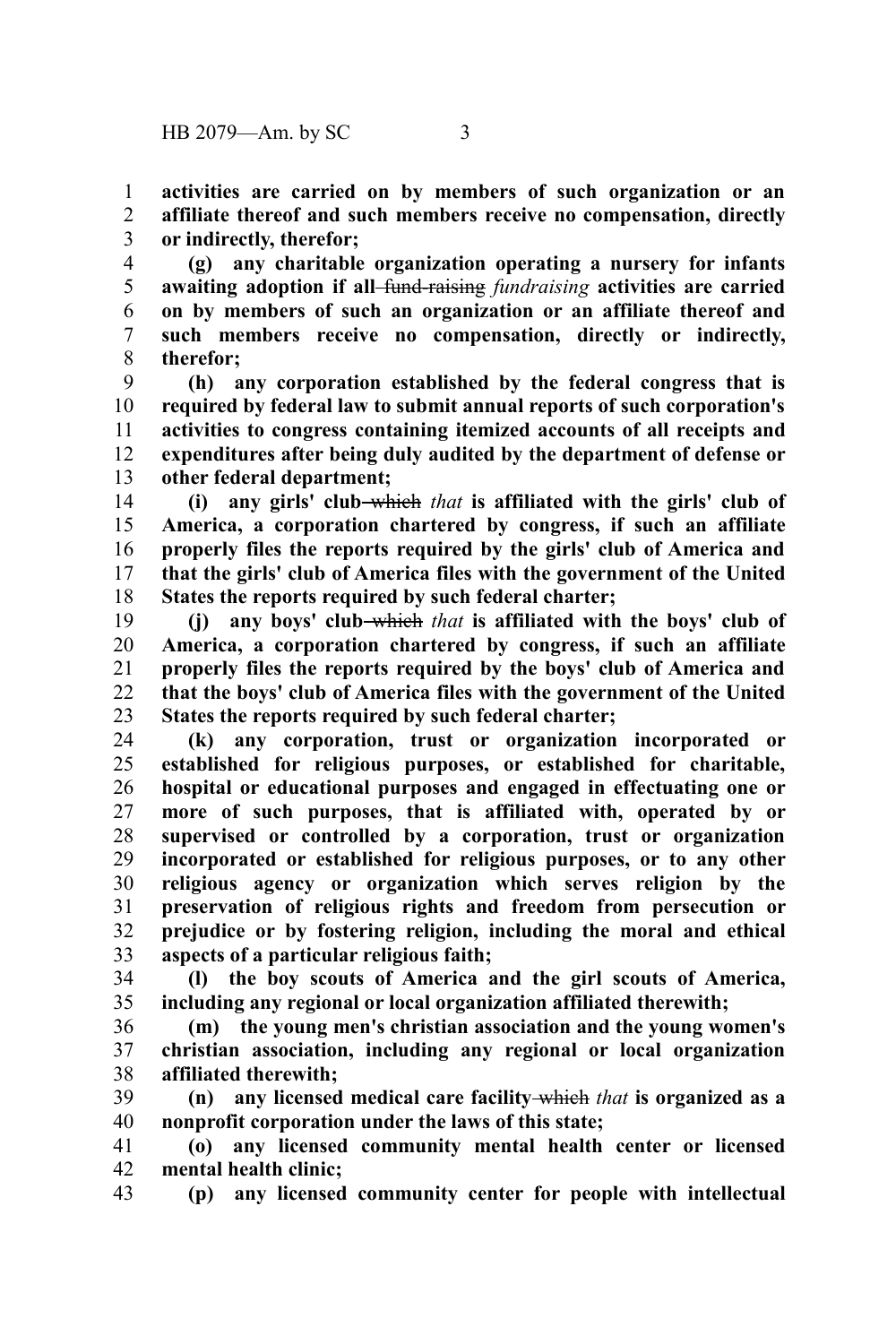**activities are carried on by members of such organization or an affiliate thereof and such members receive no compensation, directly or indirectly, therefor;** 1 2 3

**(g) any charitable organization operating a nursery for infants awaiting adoption if all** fund-raising *fundraising* **activities are carried on by members of such an organization or an affiliate thereof and such members receive no compensation, directly or indirectly, therefor;** 4 5 6 7 8

**(h) any corporation established by the federal congress that is required by federal law to submit annual reports of such corporation's activities to congress containing itemized accounts of all receipts and expenditures after being duly audited by the department of defense or other federal department;** 9 10 11 12 13

**(i) any girls' club** which *that* **is affiliated with the girls' club of America, a corporation chartered by congress, if such an affiliate properly files the reports required by the girls' club of America and that the girls' club of America files with the government of the United States the reports required by such federal charter;** 14 15 16 17 18

**(j) any boys' club** which *that* **is affiliated with the boys' club of America, a corporation chartered by congress, if such an affiliate properly files the reports required by the boys' club of America and that the boys' club of America files with the government of the United States the reports required by such federal charter;** 19 20 21 22 23

**(k) any corporation, trust or organization incorporated or established for religious purposes, or established for charitable, hospital or educational purposes and engaged in effectuating one or more of such purposes, that is affiliated with, operated by or supervised or controlled by a corporation, trust or organization incorporated or established for religious purposes, or to any other religious agency or organization which serves religion by the preservation of religious rights and freedom from persecution or prejudice or by fostering religion, including the moral and ethical aspects of a particular religious faith;** 24 25 26 27 28 29 30 31 32 33

**(l) the boy scouts of America and the girl scouts of America, including any regional or local organization affiliated therewith;** 34 35

**(m) the young men's christian association and the young women's christian association, including any regional or local organization affiliated therewith;** 36 37 38

**(n) any licensed medical care facility** which *that* **is organized as a nonprofit corporation under the laws of this state;** 39 40

**(o) any licensed community mental health center or licensed mental health clinic;** 41 42

**(p) any licensed community center for people with intellectual** 43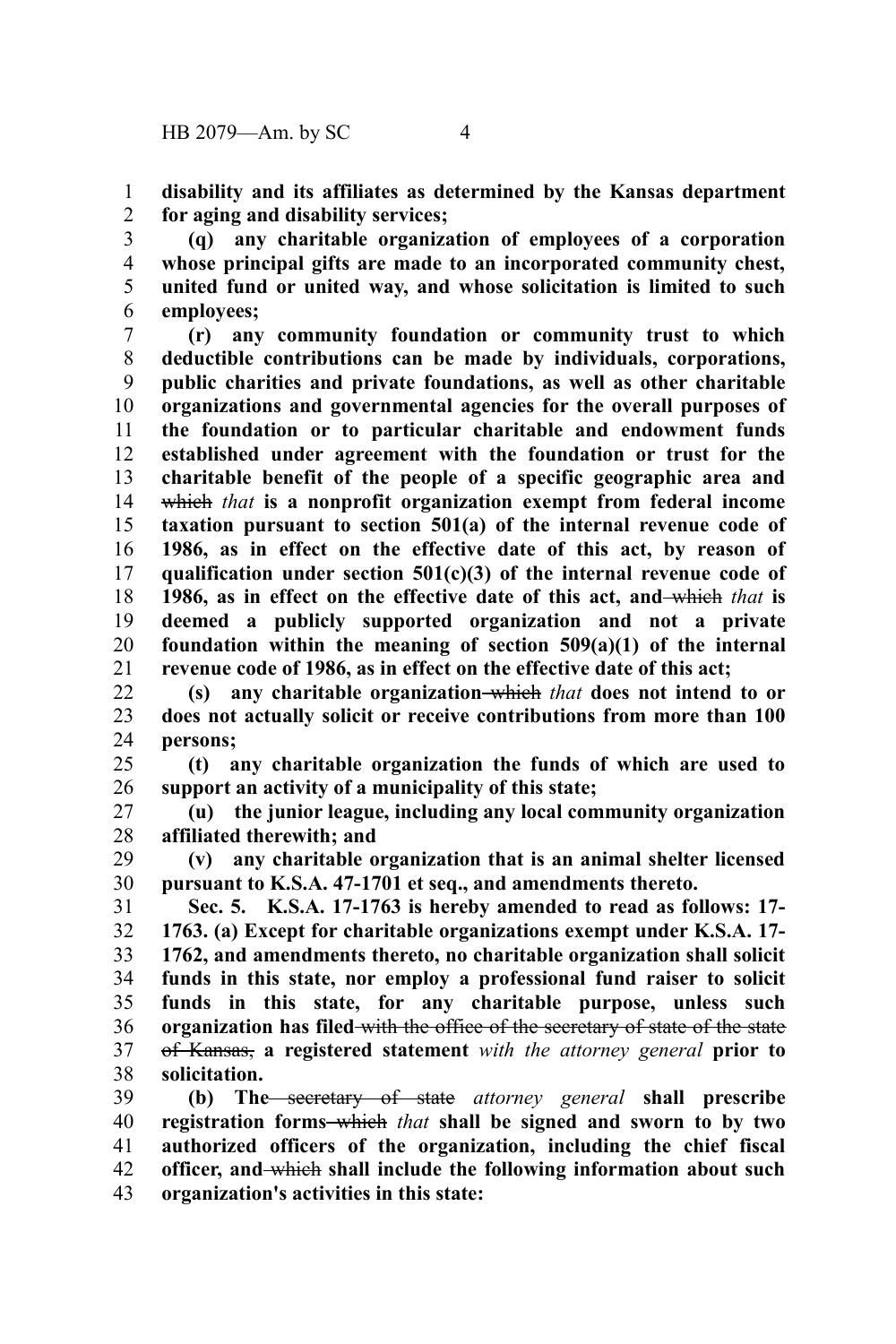**disability and its affiliates as determined by the Kansas department for aging and disability services;** 1 2

**(q) any charitable organization of employees of a corporation whose principal gifts are made to an incorporated community chest, united fund or united way, and whose solicitation is limited to such employees;** 3 4 5 6

**(r) any community foundation or community trust to which deductible contributions can be made by individuals, corporations, public charities and private foundations, as well as other charitable organizations and governmental agencies for the overall purposes of the foundation or to particular charitable and endowment funds established under agreement with the foundation or trust for the charitable benefit of the people of a specific geographic area and** which *that* **is a nonprofit organization exempt from federal income taxation pursuant to section 501(a) of the internal revenue code of 1986, as in effect on the effective date of this act, by reason of qualification under section 501(c)(3) of the internal revenue code of 1986, as in effect on the effective date of this act, and** which *that* **is deemed a publicly supported organization and not a private foundation within the meaning of section 509(a)(1) of the internal revenue code of 1986, as in effect on the effective date of this act;** 7 8 9 10 11 12 13 14 15 16 17 18 19 20 21

**(s) any charitable organization** which *that* **does not intend to or does not actually solicit or receive contributions from more than 100 persons;** 22 23 24

**(t) any charitable organization the funds of which are used to support an activity of a municipality of this state;** 25 26

**(u) the junior league, including any local community organization affiliated therewith; and** 27 28

**(v) any charitable organization that is an animal shelter licensed pursuant to K.S.A. 47-1701 et seq., and amendments thereto.** 29 30

**Sec. 5. K.S.A. 17-1763 is hereby amended to read as follows: 17- 1763. (a) Except for charitable organizations exempt under K.S.A. 17- 1762, and amendments thereto, no charitable organization shall solicit funds in this state, nor employ a professional fund raiser to solicit funds in this state, for any charitable purpose, unless such organization has filed** with the office of the secretary of state of the state of Kansas, **a registered statement** *with the attorney general* **prior to solicitation.** 31 32 33 34 35 36 37 38

**(b) The** secretary of state *attorney general* **shall prescribe registration forms** which *that* **shall be signed and sworn to by two authorized officers of the organization, including the chief fiscal officer, and** which **shall include the following information about such organization's activities in this state:** 39 40 41 42 43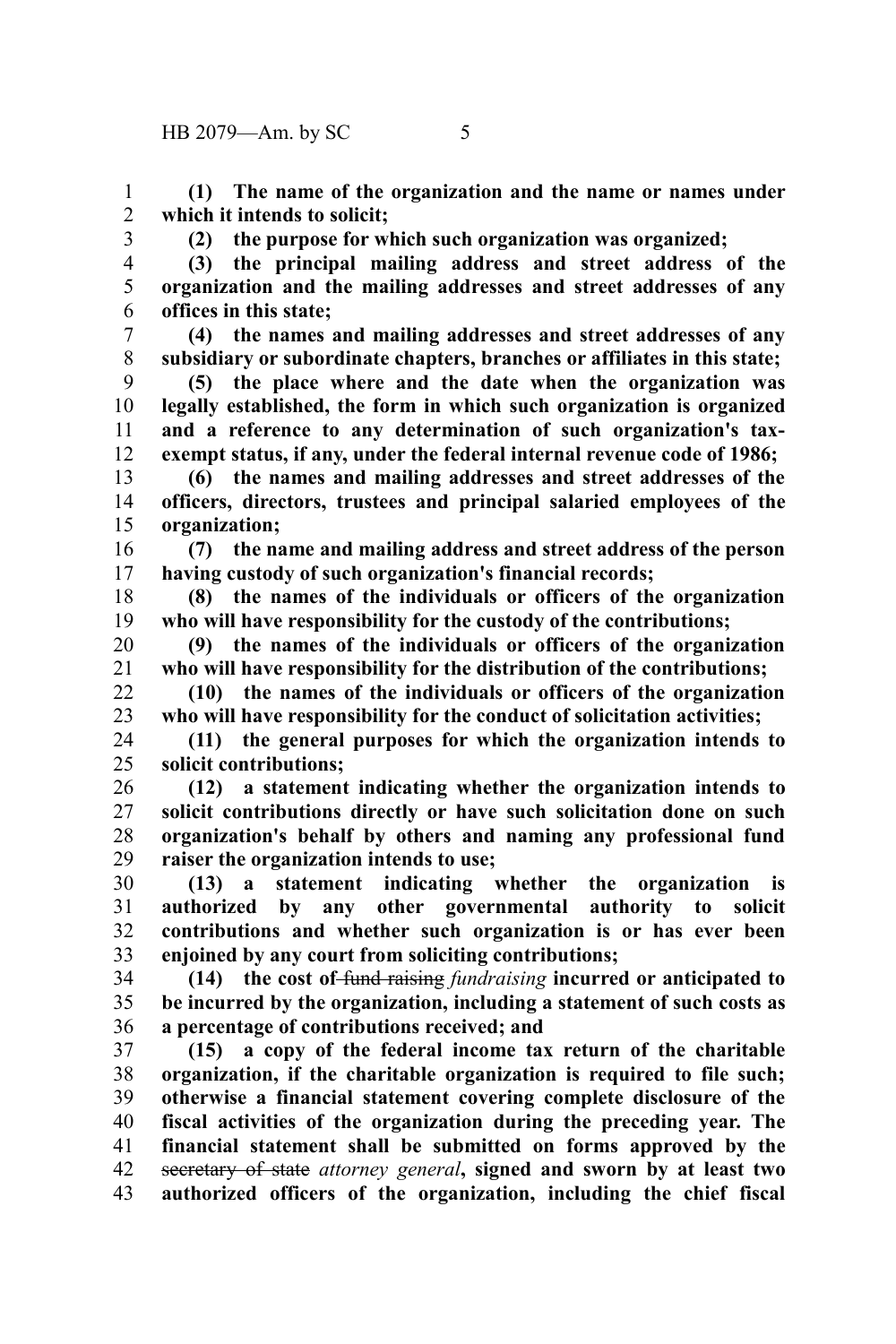**(1) The name of the organization and the name or names under which it intends to solicit;** 1 2

3

**(2) the purpose for which such organization was organized;**

4 5

6

**(3) the principal mailing address and street address of the organization and the mailing addresses and street addresses of any offices in this state;**

**(4) the names and mailing addresses and street addresses of any subsidiary or subordinate chapters, branches or affiliates in this state;** 7 8

**(5) the place where and the date when the organization was legally established, the form in which such organization is organized and a reference to any determination of such organization's taxexempt status, if any, under the federal internal revenue code of 1986;** 9 10 11 12

**(6) the names and mailing addresses and street addresses of the officers, directors, trustees and principal salaried employees of the organization;** 13 14 15

**(7) the name and mailing address and street address of the person having custody of such organization's financial records;** 16 17

**(8) the names of the individuals or officers of the organization who will have responsibility for the custody of the contributions;** 18 19

**(9) the names of the individuals or officers of the organization who will have responsibility for the distribution of the contributions;** 20 21

**(10) the names of the individuals or officers of the organization who will have responsibility for the conduct of solicitation activities;** 22 23

**(11) the general purposes for which the organization intends to solicit contributions;** 24 25

**(12) a statement indicating whether the organization intends to solicit contributions directly or have such solicitation done on such organization's behalf by others and naming any professional fund raiser the organization intends to use;** 26 27 28 29

**(13) a statement indicating whether the organization is authorized by any other governmental authority to solicit contributions and whether such organization is or has ever been enjoined by any court from soliciting contributions;** 30 31 32 33

**(14) the cost of** fund raising *fundraising* **incurred or anticipated to be incurred by the organization, including a statement of such costs as a percentage of contributions received; and** 34 35 36

**(15) a copy of the federal income tax return of the charitable organization, if the charitable organization is required to file such; otherwise a financial statement covering complete disclosure of the fiscal activities of the organization during the preceding year. The financial statement shall be submitted on forms approved by the** secretary of state *attorney general***, signed and sworn by at least two authorized officers of the organization, including the chief fiscal** 37 38 39 40 41 42 43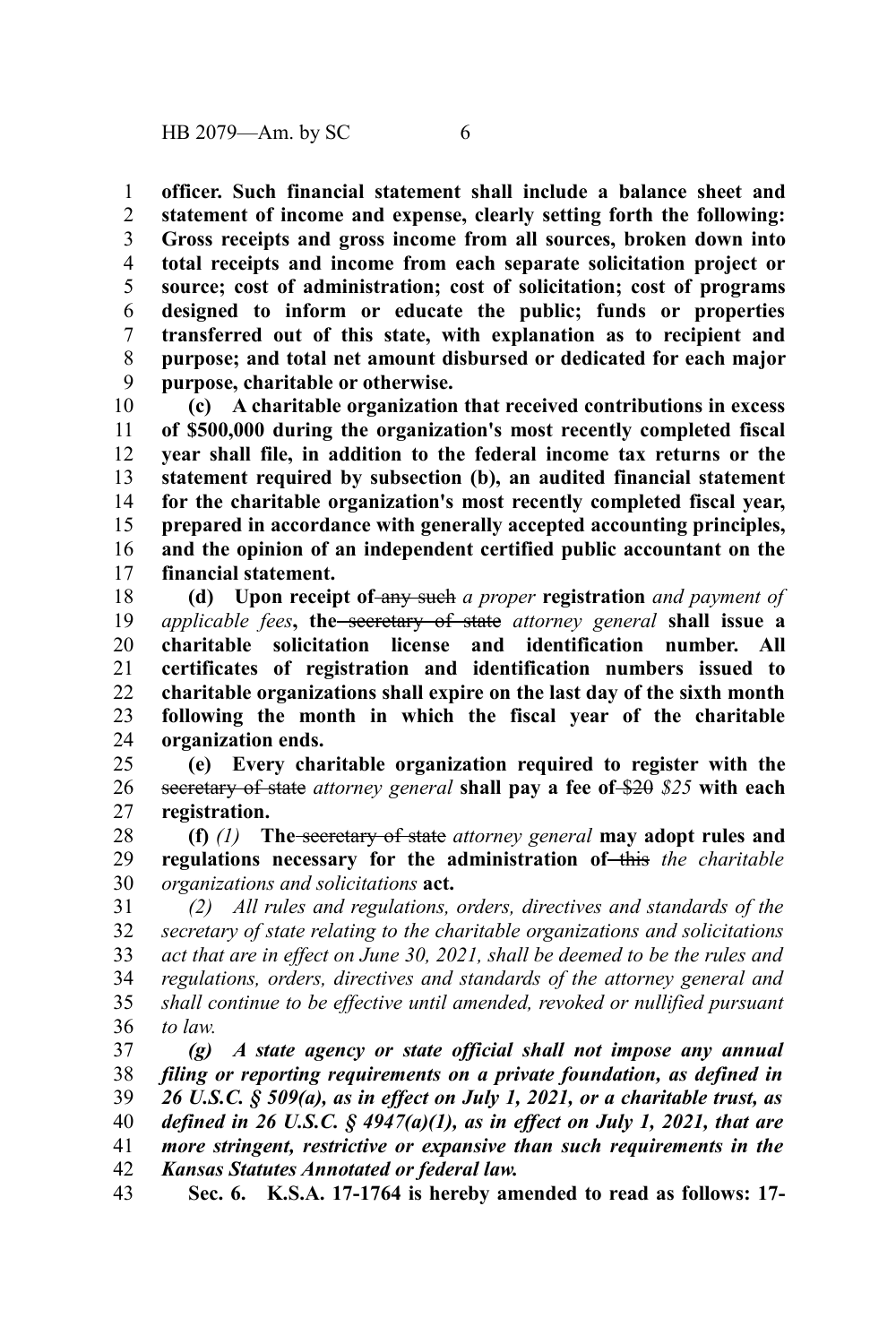**officer. Such financial statement shall include a balance sheet and statement of income and expense, clearly setting forth the following: Gross receipts and gross income from all sources, broken down into total receipts and income from each separate solicitation project or source; cost of administration; cost of solicitation; cost of programs designed to inform or educate the public; funds or properties transferred out of this state, with explanation as to recipient and purpose; and total net amount disbursed or dedicated for each major purpose, charitable or otherwise.** 1 2 3 4 5 6 7 8 9

**(c) A charitable organization that received contributions in excess of \$500,000 during the organization's most recently completed fiscal year shall file, in addition to the federal income tax returns or the statement required by subsection (b), an audited financial statement for the charitable organization's most recently completed fiscal year, prepared in accordance with generally accepted accounting principles, and the opinion of an independent certified public accountant on the financial statement.** 10 11 12 13 14 15 16 17

**(d)** Upon receipt of-any such a proper registration and payment of *applicable fees***, the** secretary of state *attorney general* **shall issue a charitable solicitation license and identification number. All certificates of registration and identification numbers issued to charitable organizations shall expire on the last day of the sixth month following the month in which the fiscal year of the charitable organization ends.** 18 19 20 21 22 23 24

**(e) Every charitable organization required to register with the** secretary of state *attorney general* **shall pay a fee of** \$20 *\$25* **with each registration.** 25 26 27

**(f)** *(1)* **The** secretary of state *attorney general* **may adopt rules and** regulations necessary for the administration of this the charitable *organizations and solicitations* **act.** 28 29 30

*(2) All rules and regulations, orders, directives and standards of the secretary of state relating to the charitable organizations and solicitations act that are in effect on June 30, 2021, shall be deemed to be the rules and regulations, orders, directives and standards of the attorney general and shall continue to be effective until amended, revoked or nullified pursuant to law.* 31 32 33 34 35 36

*(g) A state agency or state official shall not impose any annual filing or reporting requirements on a private foundation, as defined in 26 U.S.C. § 509(a), as in effect on July 1, 2021, or a charitable trust, as defined in 26 U.S.C. § 4947(a)(1), as in effect on July 1, 2021, that are more stringent, restrictive or expansive than such requirements in the Kansas Statutes Annotated or federal law.* 37 38 39 40 41 42

**Sec. 6. K.S.A. 17-1764 is hereby amended to read as follows: 17-** 43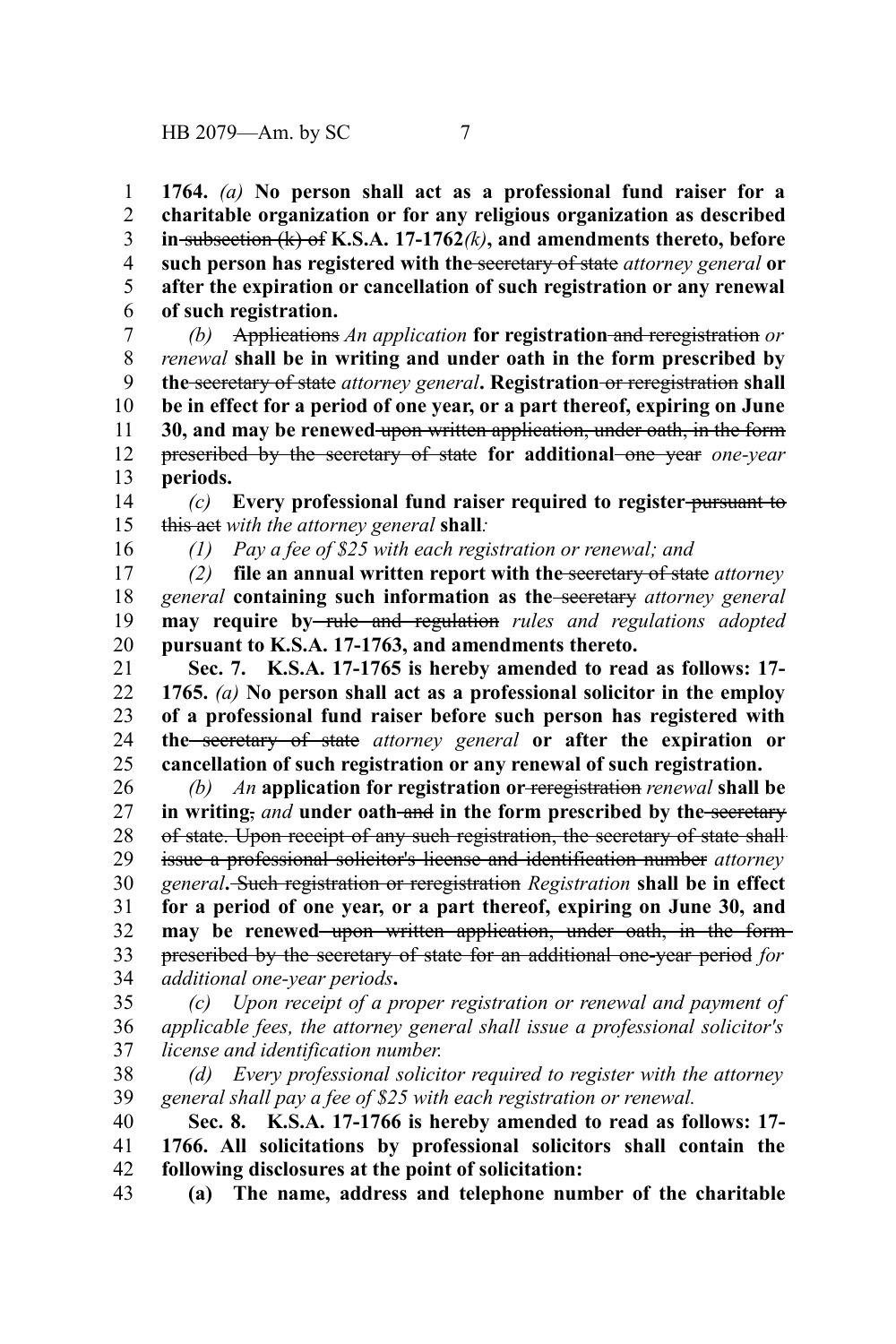**1764.** *(a)* **No person shall act as a professional fund raiser for a charitable organization or for any religious organization as described in** subsection (k) of **K.S.A. 17-1762***(k)***, and amendments thereto, before such person has registered with the** secretary of state *attorney general* **or after the expiration or cancellation of such registration or any renewal of such registration.** 1 2 3 4 5 6

*(b)* Applications *An application* **for registration** and reregistration *or renewal* **shall be in writing and under oath in the form prescribed by the** secretary of state *attorney general***. Registration** or reregistration **shall be in effect for a period of one year, or a part thereof, expiring on June 30, and may be renewed** upon written application, under oath, in the form prescribed by the secretary of state **for additional** one year *one-year* **periods.** 7 8 9 10 11 12 13

*(c)* **Every professional fund raiser required to register** pursuant to this act *with the attorney general* **shall***:* 14 15

16

*(1) Pay a fee of \$25 with each registration or renewal; and*

*(2)* **file an annual written report with the** secretary of state *attorney general* **containing such information as the** secretary *attorney general* **may require by-rule and regulation** rules and regulations adopted **pursuant to K.S.A. 17-1763, and amendments thereto.** 17 18 19 20

**Sec. 7. K.S.A. 17-1765 is hereby amended to read as follows: 17- 1765.** *(a)* **No person shall act as a professional solicitor in the employ of a professional fund raiser before such person has registered with the** secretary of state *attorney general* **or after the expiration or cancellation of such registration or any renewal of such registration.** 21 22 23 24 25

*(b) An* **application for registration or** reregistration *renewal* **shall be in writing**, and **under** oath-and in the form prescribed by the secretary of state. Upon receipt of any such registration, the secretary of state shall issue a professional solicitor's license and identification number *attorney general***.** Such registration or reregistration *Registration* **shall be in effect for a period of one year, or a part thereof, expiring on June 30, and** may be renewed upon written application, under oath, in the formprescribed by the secretary of state for an additional one-year period *for additional one-year periods***.** 26 27 28 29 30 31 32 33 34

*Upon receipt of a proper registration or renewal and payment of applicable fees, the attorney general shall issue a professional solicitor's license and identification number.* 35 36 37

*(d) Every professional solicitor required to register with the attorney general shall pay a fee of \$25 with each registration or renewal.* 38 39

**Sec. 8. K.S.A. 17-1766 is hereby amended to read as follows: 17- 1766. All solicitations by professional solicitors shall contain the following disclosures at the point of solicitation:** 40 41 42

**(a) The name, address and telephone number of the charitable** 43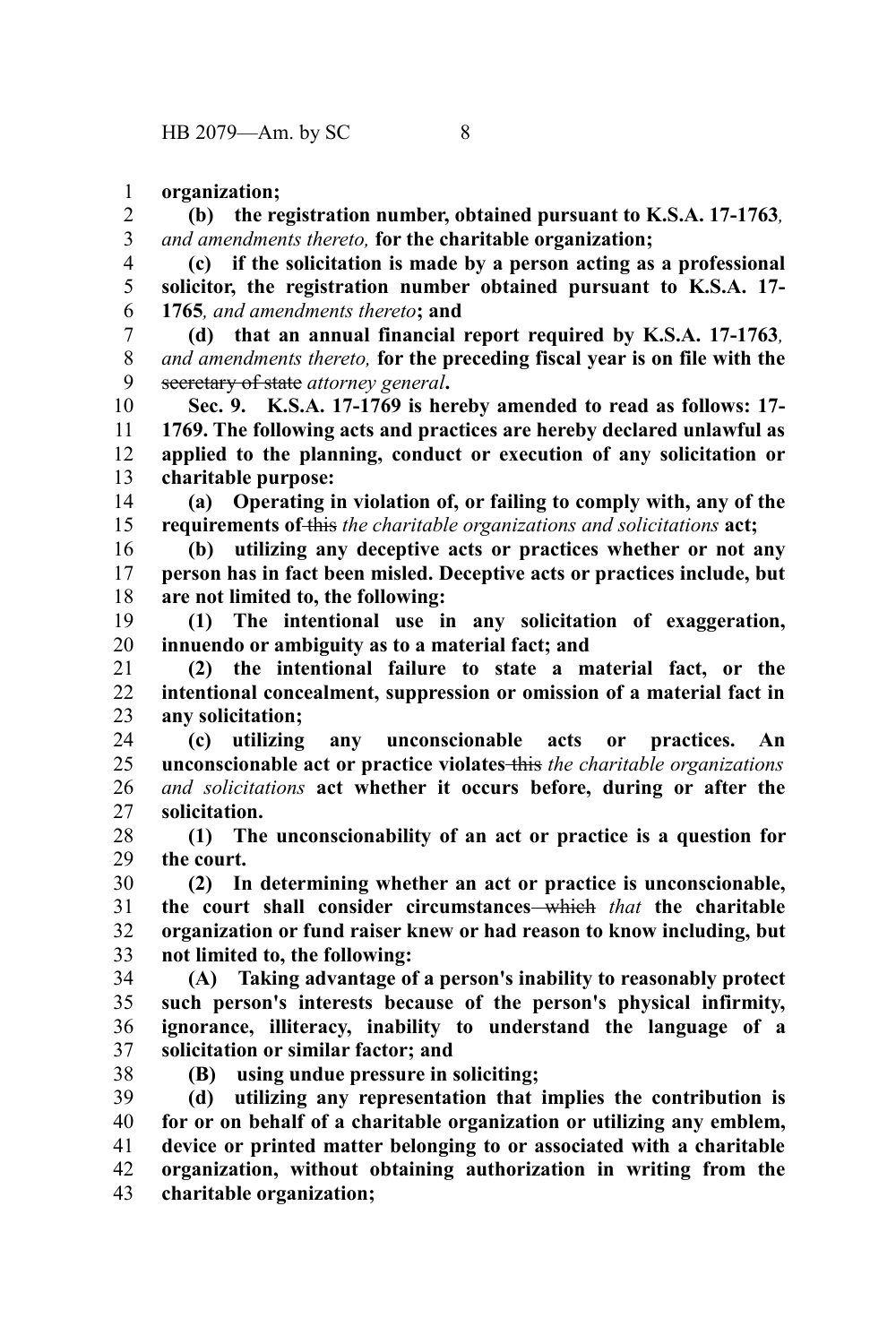**organization;** 1

**(b) the registration number, obtained pursuant to K.S.A. 17-1763***, and amendments thereto,* **for the charitable organization;** 2 3

**(c) if the solicitation is made by a person acting as a professional solicitor, the registration number obtained pursuant to K.S.A. 17- 1765***, and amendments thereto***; and** 4 5 6

**(d) that an annual financial report required by K.S.A. 17-1763***, and amendments thereto,* **for the preceding fiscal year is on file with the** secretary of state *attorney general***.** 7 8 9

**Sec. 9. K.S.A. 17-1769 is hereby amended to read as follows: 17- 1769. The following acts and practices are hereby declared unlawful as applied to the planning, conduct or execution of any solicitation or charitable purpose:** 10 11 12 13

**(a) Operating in violation of, or failing to comply with, any of the requirements of** this *the charitable organizations and solicitations* **act;** 14 15

**(b) utilizing any deceptive acts or practices whether or not any person has in fact been misled. Deceptive acts or practices include, but are not limited to, the following:** 16 17 18

**(1) The intentional use in any solicitation of exaggeration, innuendo or ambiguity as to a material fact; and** 19 20

**(2) the intentional failure to state a material fact, or the intentional concealment, suppression or omission of a material fact in any solicitation;** 21 22 23

**(c) utilizing any unconscionable acts or practices. An unconscionable act or practice violates** this *the charitable organizations and solicitations* **act whether it occurs before, during or after the solicitation.** 24 25 26 27

**(1) The unconscionability of an act or practice is a question for the court.** 28 29

**(2) In determining whether an act or practice is unconscionable, the court shall consider circumstances** which *that* **the charitable organization or fund raiser knew or had reason to know including, but not limited to, the following:** 30 31 32 33

**(A) Taking advantage of a person's inability to reasonably protect such person's interests because of the person's physical infirmity, ignorance, illiteracy, inability to understand the language of a solicitation or similar factor; and** 34 35 36 37

38

**(B) using undue pressure in soliciting;**

**(d) utilizing any representation that implies the contribution is for or on behalf of a charitable organization or utilizing any emblem, device or printed matter belonging to or associated with a charitable organization, without obtaining authorization in writing from the charitable organization;** 39 40 41 42 43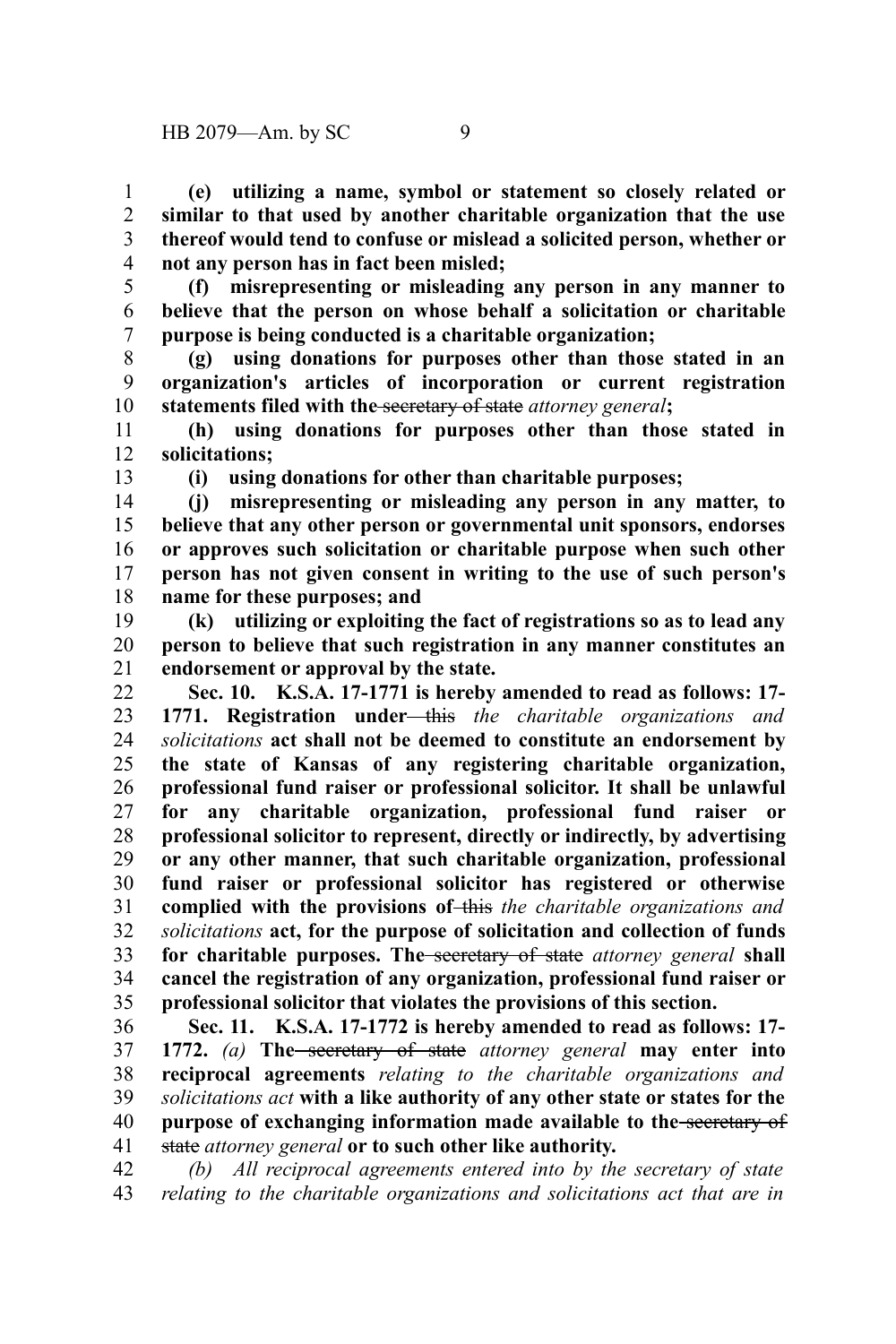**(e) utilizing a name, symbol or statement so closely related or similar to that used by another charitable organization that the use thereof would tend to confuse or mislead a solicited person, whether or not any person has in fact been misled;** 1 2 3 4

**(f) misrepresenting or misleading any person in any manner to believe that the person on whose behalf a solicitation or charitable purpose is being conducted is a charitable organization;** 5 6 7

**(g) using donations for purposes other than those stated in an organization's articles of incorporation or current registration statements filed with the** secretary of state *attorney general***;** 8 9 10

**(h) using donations for purposes other than those stated in solicitations;** 11 12

13

**(i) using donations for other than charitable purposes;**

**(j) misrepresenting or misleading any person in any matter, to believe that any other person or governmental unit sponsors, endorses or approves such solicitation or charitable purpose when such other person has not given consent in writing to the use of such person's name for these purposes; and** 14 15 16 17 18

**(k) utilizing or exploiting the fact of registrations so as to lead any person to believe that such registration in any manner constitutes an endorsement or approval by the state.** 19 20 21

**Sec. 10. K.S.A. 17-1771 is hereby amended to read as follows: 17- 1771. Registration under** this *the charitable organizations and solicitations* **act shall not be deemed to constitute an endorsement by the state of Kansas of any registering charitable organization, professional fund raiser or professional solicitor. It shall be unlawful for any charitable organization, professional fund raiser or professional solicitor to represent, directly or indirectly, by advertising or any other manner, that such charitable organization, professional fund raiser or professional solicitor has registered or otherwise complied with the provisions of** this *the charitable organizations and solicitations* **act, for the purpose of solicitation and collection of funds for charitable purposes. The** secretary of state *attorney general* **shall cancel the registration of any organization, professional fund raiser or professional solicitor that violates the provisions of this section.** 22 23 24 25 26 27 28 29 30 31 32 33 34 35

**Sec. 11. K.S.A. 17-1772 is hereby amended to read as follows: 17- 1772.** *(a)* **The** secretary of state *attorney general* **may enter into reciprocal agreements** *relating to the charitable organizations and solicitations act* **with a like authority of any other state or states for the purpose of exchanging information made available to the** secretary of state *attorney general* **or to such other like authority.** 36 37 38 39 40 41

*(b) All reciprocal agreements entered into by the secretary of state relating to the charitable organizations and solicitations act that are in* 42 43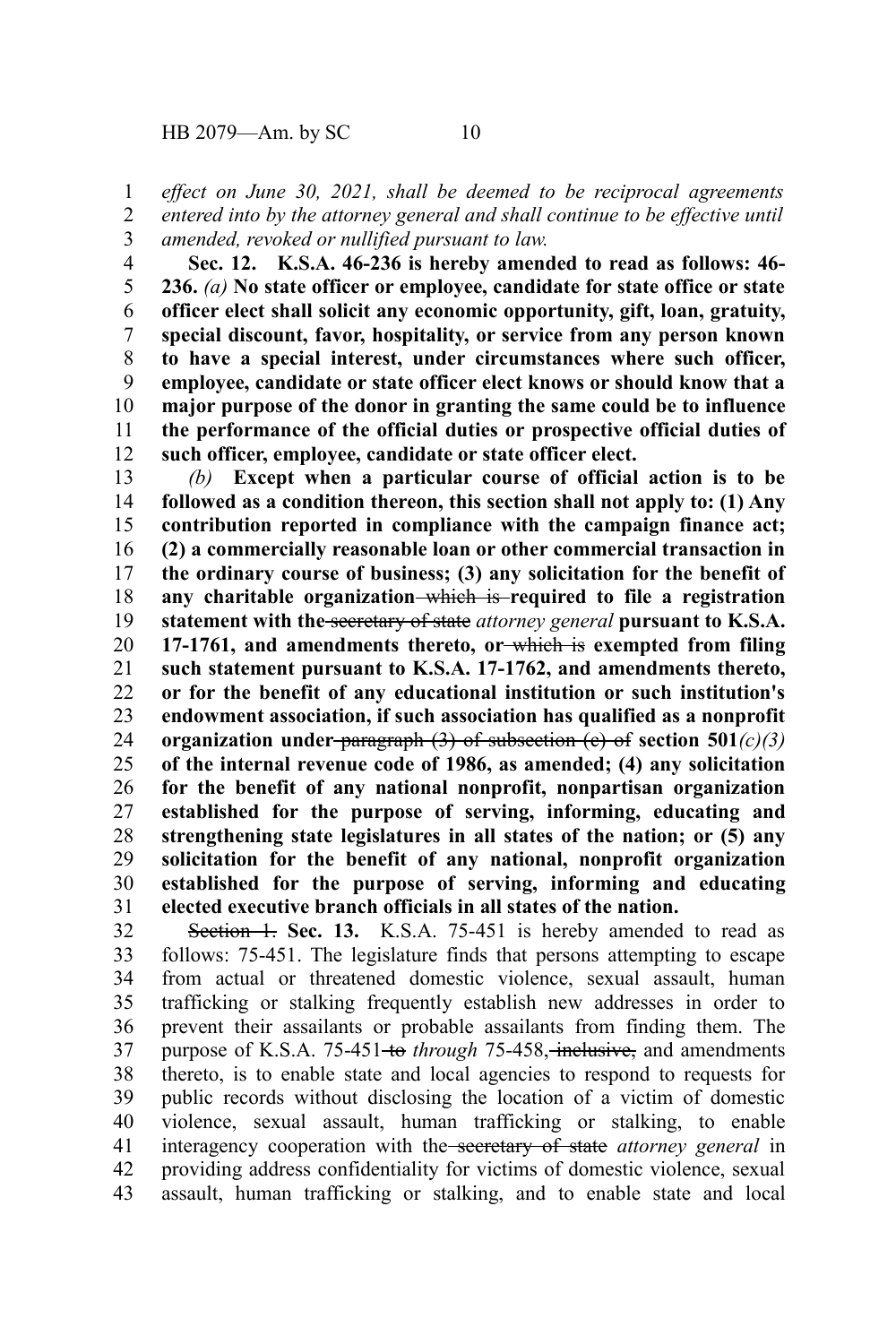*effect on June 30, 2021, shall be deemed to be reciprocal agreements* 1

*entered into by the attorney general and shall continue to be effective until amended, revoked or nullified pursuant to law.* 2 3

**Sec. 12. K.S.A. 46-236 is hereby amended to read as follows: 46- 236.** *(a)* **No state officer or employee, candidate for state office or state officer elect shall solicit any economic opportunity, gift, loan, gratuity, special discount, favor, hospitality, or service from any person known to have a special interest, under circumstances where such officer, employee, candidate or state officer elect knows or should know that a major purpose of the donor in granting the same could be to influence the performance of the official duties or prospective official duties of such officer, employee, candidate or state officer elect.** 4 5 6 7 8 9 10 11 12

*(b)* **Except when a particular course of official action is to be followed as a condition thereon, this section shall not apply to: (1) Any contribution reported in compliance with the campaign finance act; (2) a commercially reasonable loan or other commercial transaction in the ordinary course of business; (3) any solicitation for the benefit of any charitable organization** which is **required to file a registration statement with the** secretary of state *attorney general* **pursuant to K.S.A. 17-1761, and amendments thereto, or** which is **exempted from filing such statement pursuant to K.S.A. 17-1762, and amendments thereto, or for the benefit of any educational institution or such institution's endowment association, if such association has qualified as a nonprofit organization under** paragraph (3) of subsection (c) of **section 501***(c)(3)* **of the internal revenue code of 1986, as amended; (4) any solicitation for the benefit of any national nonprofit, nonpartisan organization established for the purpose of serving, informing, educating and strengthening state legislatures in all states of the nation; or (5) any solicitation for the benefit of any national, nonprofit organization established for the purpose of serving, informing and educating elected executive branch officials in all states of the nation.** 13 14 15 16 17 18 19 20 21 22 23 24 25 26 27 28 29 30 31

Section 1. Sec. 13. K.S.A. 75-451 is hereby amended to read as follows: 75-451. The legislature finds that persons attempting to escape from actual or threatened domestic violence, sexual assault, human trafficking or stalking frequently establish new addresses in order to prevent their assailants or probable assailants from finding them. The purpose of K.S.A. 75-451<del>-to</del> through 75-458, inclusive, and amendments thereto, is to enable state and local agencies to respond to requests for public records without disclosing the location of a victim of domestic violence, sexual assault, human trafficking or stalking, to enable interagency cooperation with the secretary of state *attorney general* in providing address confidentiality for victims of domestic violence, sexual assault, human trafficking or stalking, and to enable state and local 32 33 34 35 36 37 38 39 40 41 42 43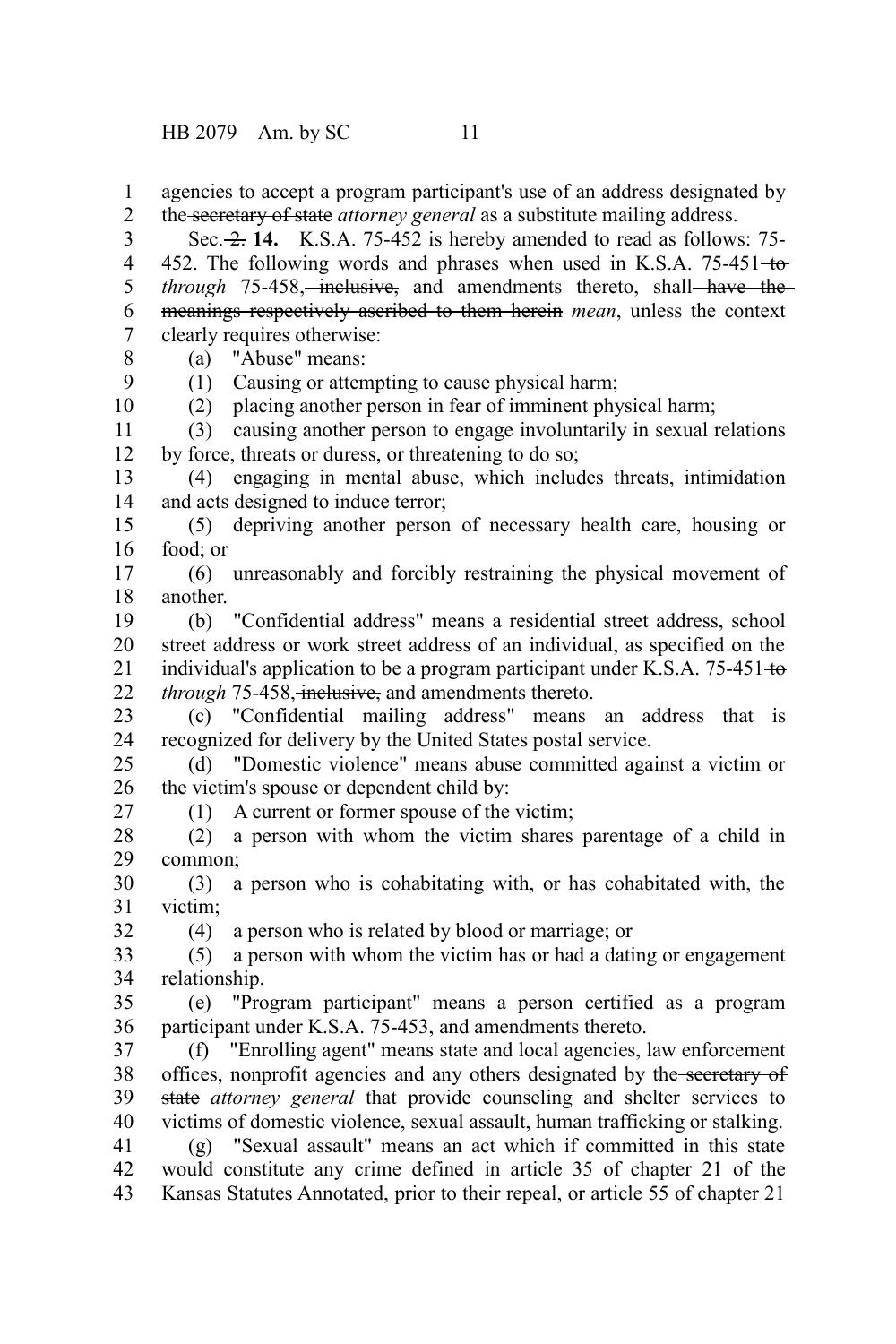HB 2079—Am. by SC 11

agencies to accept a program participant's use of an address designated by the secretary of state *attorney general* as a substitute mailing address. Sec. 2. 14. K.S.A. 75-452 is hereby amended to read as follows: 75-452. The following words and phrases when used in K.S.A. 75-451-to*through* 75-458, inclusive, and amendments thereto, shall have the meanings respectively ascribed to them herein *mean*, unless the context clearly requires otherwise: (a) "Abuse" means: (1) Causing or attempting to cause physical harm; (2) placing another person in fear of imminent physical harm; (3) causing another person to engage involuntarily in sexual relations by force, threats or duress, or threatening to do so; (4) engaging in mental abuse, which includes threats, intimidation and acts designed to induce terror; (5) depriving another person of necessary health care, housing or food; or (6) unreasonably and forcibly restraining the physical movement of another. (b) "Confidential address" means a residential street address, school street address or work street address of an individual, as specified on the individual's application to be a program participant under K.S.A.  $75-451 \pm 0.$ *through* 75-458, inclusive, and amendments thereto. (c) "Confidential mailing address" means an address that is recognized for delivery by the United States postal service. (d) "Domestic violence" means abuse committed against a victim or the victim's spouse or dependent child by: (1) A current or former spouse of the victim; (2) a person with whom the victim shares parentage of a child in common; (3) a person who is cohabitating with, or has cohabitated with, the victim; (4) a person who is related by blood or marriage; or (5) a person with whom the victim has or had a dating or engagement relationship. (e) "Program participant" means a person certified as a program participant under K.S.A. 75-453, and amendments thereto. (f) "Enrolling agent" means state and local agencies, law enforcement offices, nonprofit agencies and any others designated by the secretary of state *attorney general* that provide counseling and shelter services to victims of domestic violence, sexual assault, human trafficking or stalking. (g) "Sexual assault" means an act which if committed in this state would constitute any crime defined in article 35 of chapter 21 of the Kansas Statutes Annotated, prior to their repeal, or article 55 of chapter 21 1 2 3 4 5 6 7 8 9 10 11 12 13 14 15 16 17 18 19 20 21 22 23 24 25 26 27 28 29 30 31 32 33 34 35 36 37 38 39 40 41 42 43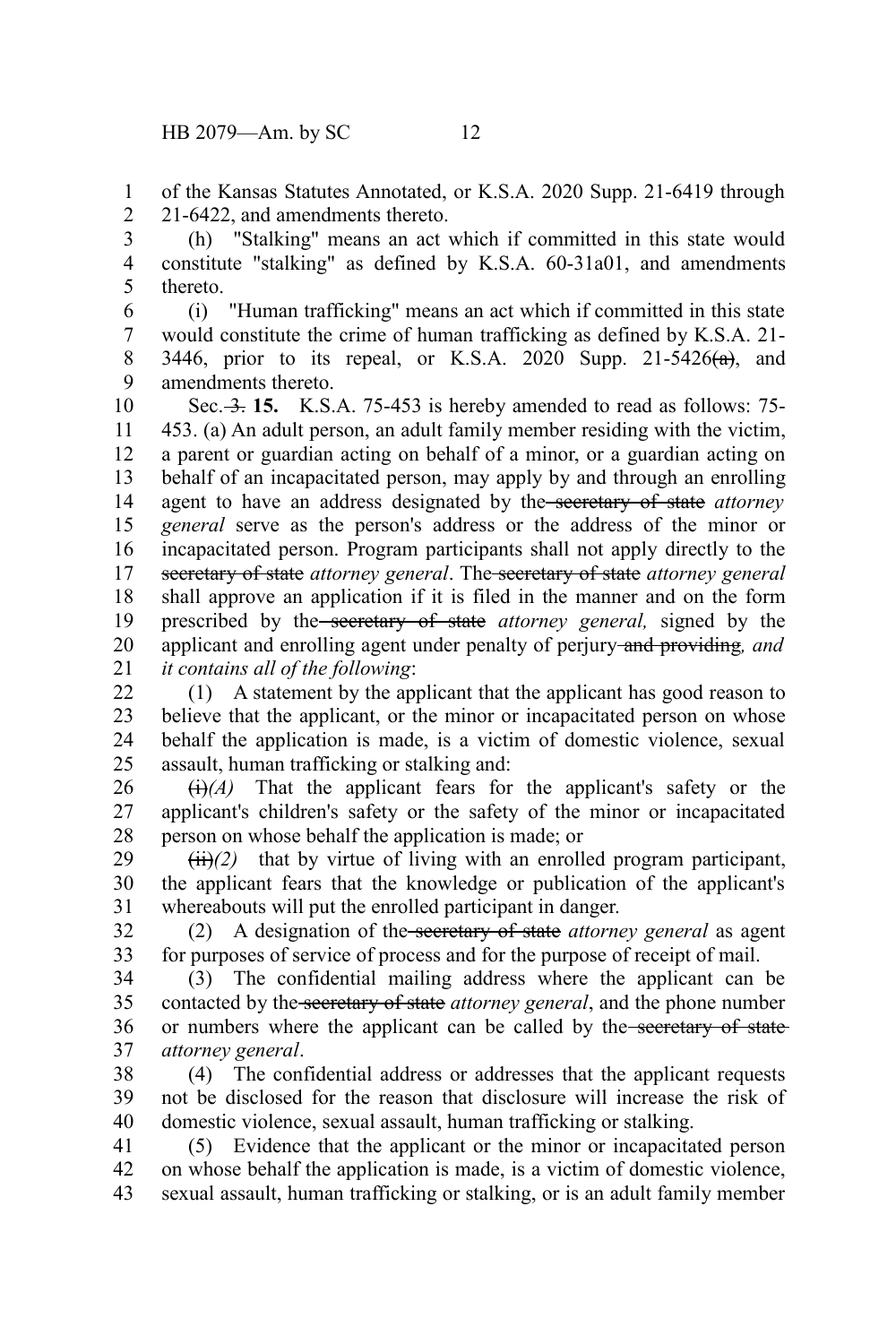of the Kansas Statutes Annotated, or K.S.A. 2020 Supp. 21-6419 through 21-6422, and amendments thereto. 1 2

(h) "Stalking" means an act which if committed in this state would constitute "stalking" as defined by K.S.A. 60-31a01, and amendments thereto. 3 4 5

(i) "Human trafficking" means an act which if committed in this state would constitute the crime of human trafficking as defined by K.S.A. 21- 3446, prior to its repeal, or K.S.A. 2020 Supp. 21-5426 $(\alpha)$ , and amendments thereto. 6 7 8 9

Sec. 3. 15. K.S.A. 75-453 is hereby amended to read as follows: 75-453. (a) An adult person, an adult family member residing with the victim, a parent or guardian acting on behalf of a minor, or a guardian acting on behalf of an incapacitated person, may apply by and through an enrolling agent to have an address designated by the secretary of state *attorney general* serve as the person's address or the address of the minor or incapacitated person. Program participants shall not apply directly to the secretary of state *attorney general*. The secretary of state *attorney general* shall approve an application if it is filed in the manner and on the form prescribed by the secretary of state *attorney general,* signed by the applicant and enrolling agent under penalty of perjury and providing*, and it contains all of the following*: 10 11 12 13 14 15 16 17 18 19 20 21

(1) A statement by the applicant that the applicant has good reason to believe that the applicant, or the minor or incapacitated person on whose behalf the application is made, is a victim of domestic violence, sexual assault, human trafficking or stalking and: 22 23 24 25

 $\overrightarrow{(i)}(A)$  That the applicant fears for the applicant's safety or the applicant's children's safety or the safety of the minor or incapacitated person on whose behalf the application is made; or 26 27 28

 $(ii)(2)$  that by virtue of living with an enrolled program participant, the applicant fears that the knowledge or publication of the applicant's whereabouts will put the enrolled participant in danger. 29 30 31

(2) A designation of the secretary of state *attorney general* as agent for purposes of service of process and for the purpose of receipt of mail. 32 33

(3) The confidential mailing address where the applicant can be contacted by the secretary of state *attorney general*, and the phone number or numbers where the applicant can be called by the secretary of state *attorney general*. 34 35 36 37

(4) The confidential address or addresses that the applicant requests not be disclosed for the reason that disclosure will increase the risk of domestic violence, sexual assault, human trafficking or stalking. 38 39 40

(5) Evidence that the applicant or the minor or incapacitated person on whose behalf the application is made, is a victim of domestic violence, sexual assault, human trafficking or stalking, or is an adult family member 41 42 43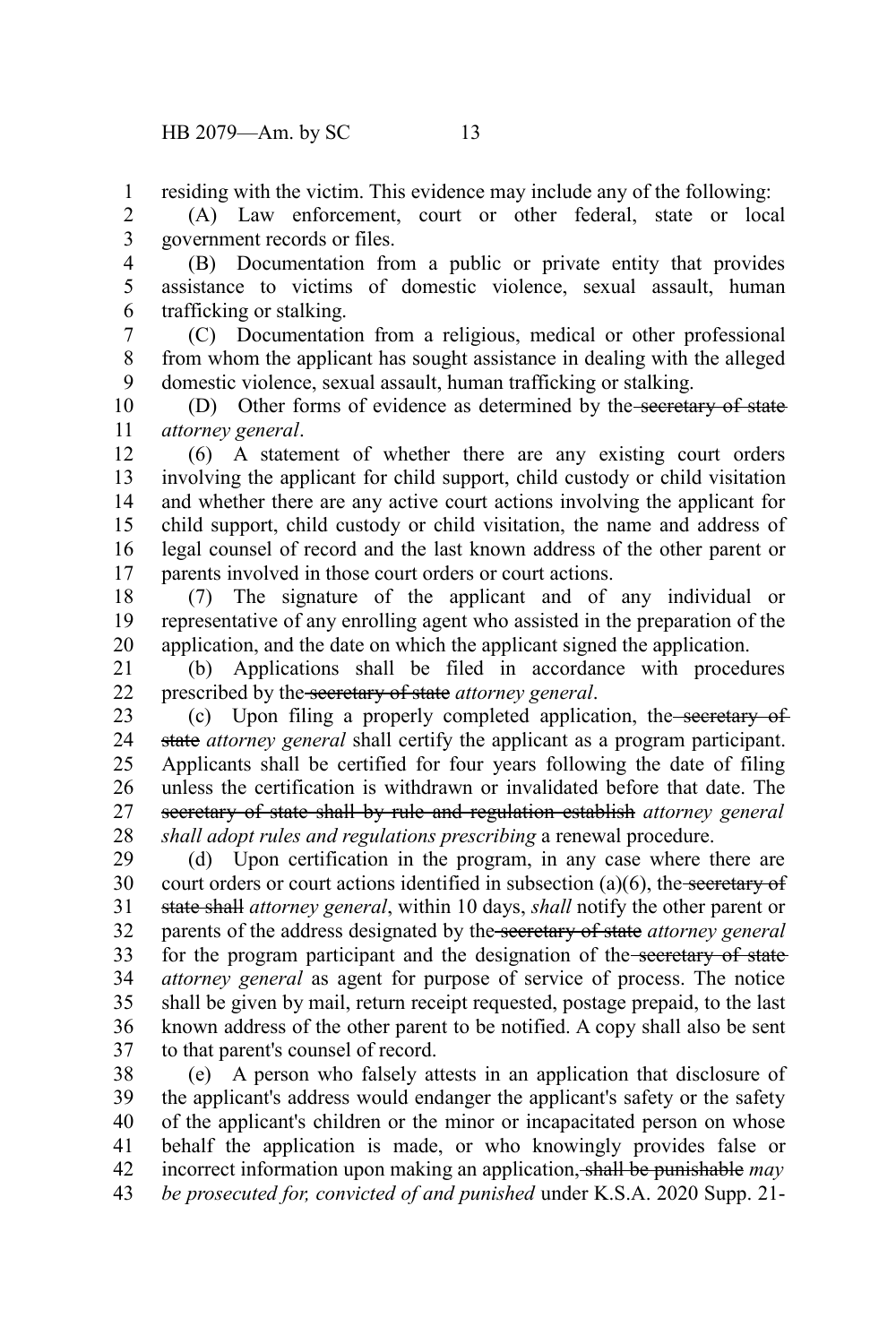residing with the victim. This evidence may include any of the following: 1

(A) Law enforcement, court or other federal, state or local government records or files. 2 3

(B) Documentation from a public or private entity that provides assistance to victims of domestic violence, sexual assault, human trafficking or stalking. 4 5 6

(C) Documentation from a religious, medical or other professional from whom the applicant has sought assistance in dealing with the alleged domestic violence, sexual assault, human trafficking or stalking. 7 8 9

(D) Other forms of evidence as determined by the secretary of state *attorney general*. 10 11

(6) A statement of whether there are any existing court orders involving the applicant for child support, child custody or child visitation and whether there are any active court actions involving the applicant for child support, child custody or child visitation, the name and address of legal counsel of record and the last known address of the other parent or parents involved in those court orders or court actions. 12 13 14 15 16 17

(7) The signature of the applicant and of any individual or representative of any enrolling agent who assisted in the preparation of the application, and the date on which the applicant signed the application. 18 19 20

(b) Applications shall be filed in accordance with procedures prescribed by the secretary of state *attorney general*. 21 22

(c) Upon filing a properly completed application, the secretary of state *attorney general* shall certify the applicant as a program participant. Applicants shall be certified for four years following the date of filing unless the certification is withdrawn or invalidated before that date. The secretary of state shall by rule and regulation establish *attorney general shall adopt rules and regulations prescribing* a renewal procedure. 23 24 25 26 27 28

(d) Upon certification in the program, in any case where there are court orders or court actions identified in subsection  $(a)(6)$ , the secretary of state shall *attorney general*, within 10 days, *shall* notify the other parent or parents of the address designated by the secretary of state *attorney general* for the program participant and the designation of the secretary of state *attorney general* as agent for purpose of service of process. The notice shall be given by mail, return receipt requested, postage prepaid, to the last known address of the other parent to be notified. A copy shall also be sent to that parent's counsel of record. 29 30 31 32 33 34 35 36 37

(e) A person who falsely attests in an application that disclosure of the applicant's address would endanger the applicant's safety or the safety of the applicant's children or the minor or incapacitated person on whose behalf the application is made, or who knowingly provides false or incorrect information upon making an application, shall be punishable *may be prosecuted for, convicted of and punished* under K.S.A. 2020 Supp. 21- 38 39 40 41 42 43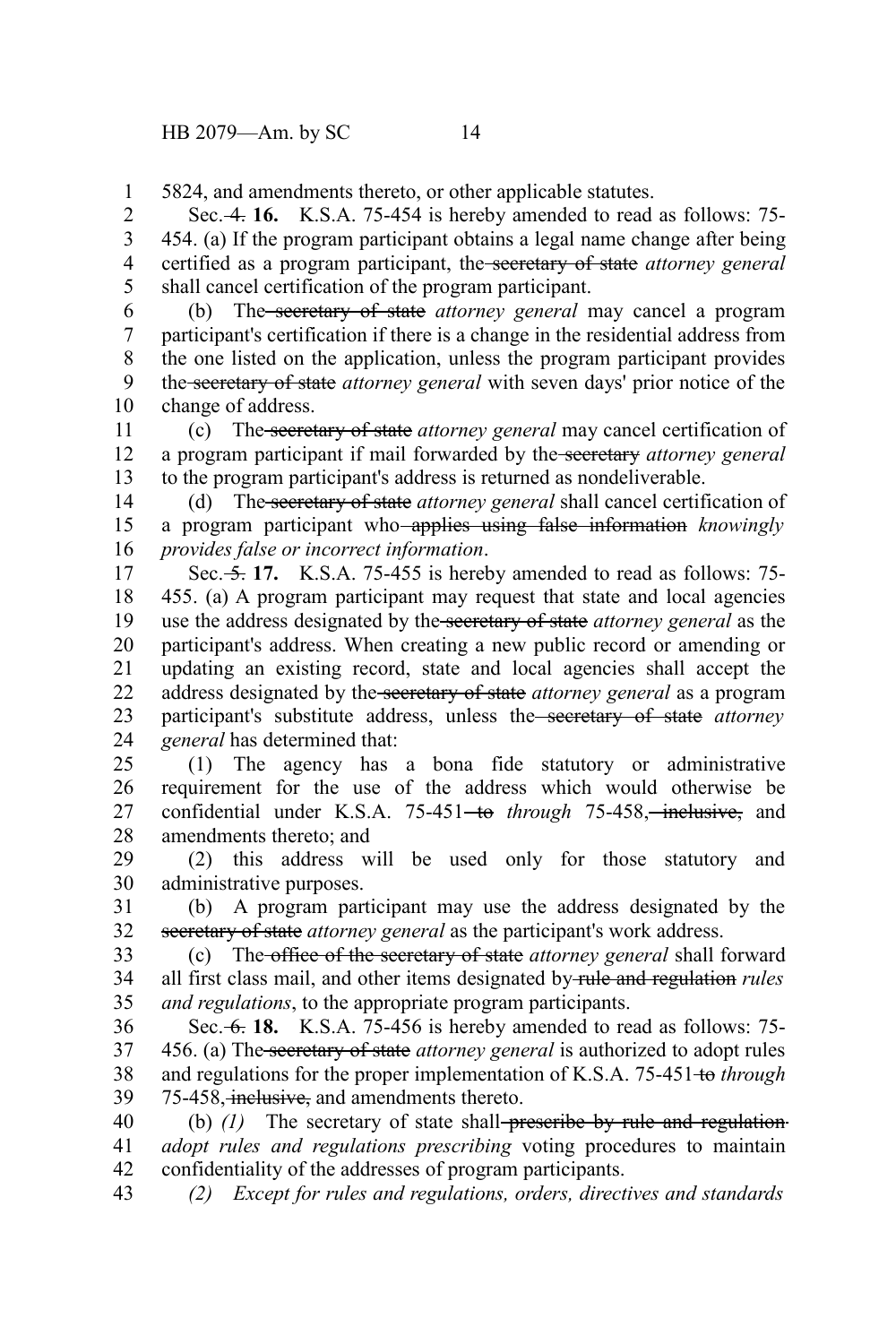5824, and amendments thereto, or other applicable statutes. 1

Sec. 4. **16.** K.S.A. 75-454 is hereby amended to read as follows: 75- 454. (a) If the program participant obtains a legal name change after being certified as a program participant, the secretary of state *attorney general* shall cancel certification of the program participant. 2 3 4 5

(b) The secretary of state *attorney general* may cancel a program participant's certification if there is a change in the residential address from the one listed on the application, unless the program participant provides the secretary of state *attorney general* with seven days' prior notice of the change of address. 6 7 8 9 10

(c) The secretary of state *attorney general* may cancel certification of a program participant if mail forwarded by the secretary *attorney general* to the program participant's address is returned as nondeliverable. 11 12 13

(d) The secretary of state *attorney general* shall cancel certification of a program participant who applies using false information *knowingly provides false or incorrect information*. 14 15 16

Sec. 5. **17.** K.S.A. 75-455 is hereby amended to read as follows: 75- 455. (a) A program participant may request that state and local agencies use the address designated by the secretary of state *attorney general* as the participant's address. When creating a new public record or amending or updating an existing record, state and local agencies shall accept the address designated by the secretary of state *attorney general* as a program participant's substitute address, unless the secretary of state *attorney general* has determined that: 17 18 19 20 21 22 23 24

(1) The agency has a bona fide statutory or administrative requirement for the use of the address which would otherwise be confidential under K.S.A. 75-451<del>-to</del> through 75-458, inclusive, and amendments thereto; and 25 26 27 28

(2) this address will be used only for those statutory and administrative purposes. 29 30

(b) A program participant may use the address designated by the secretary of state *attorney general* as the participant's work address. 31 32

(c) The office of the secretary of state *attorney general* shall forward all first class mail, and other items designated by rule and regulation *rules and regulations*, to the appropriate program participants. 33 34 35

Sec. 6. **18.** K.S.A. 75-456 is hereby amended to read as follows: 75- 456. (a) The secretary of state *attorney general* is authorized to adopt rules and regulations for the proper implementation of K.S.A. 75-451 to *through* 75-458, inclusive, and amendments thereto. 36 37 38 39

(b) (1) The secretary of state shall-preseribe by rule and regulation*adopt rules and regulations prescribing* voting procedures to maintain confidentiality of the addresses of program participants. 40 41 42

*(2) Except for rules and regulations, orders, directives and standards* 43